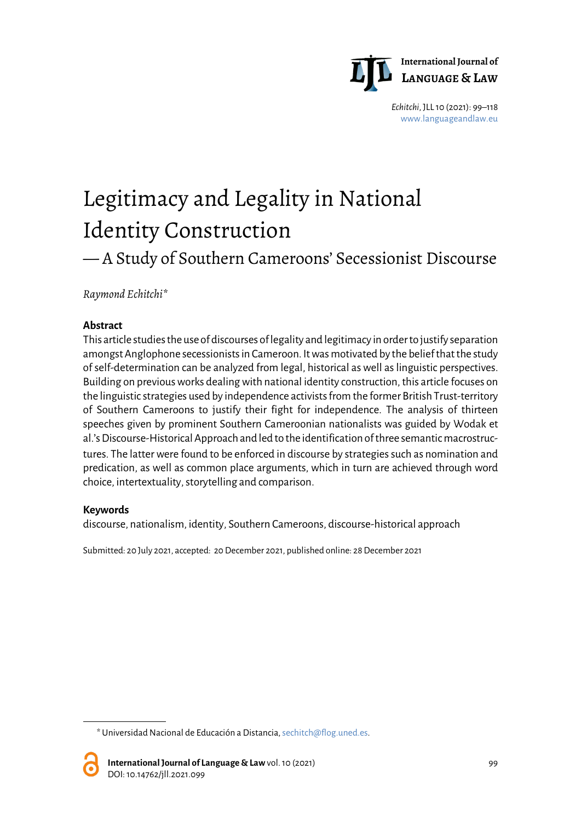

*Echitchi*, JLL 10 (2021): 99–118 [www.languageandlaw.eu](http://www.languageandlaw.eu/)

# Legitimacy and Legality in National Identity Construction

# — A Study of Southern Cameroons' Secessionist Discourse

*Raymond Echitchi*[\\*](#page-0-0)

#### **Abstract**

This article studies the use of discourses of legality and legitimacy in order to justify separation amongst Anglophone secessionists in Cameroon. It was motivated by the belief that the study of self-determination can be analyzed from legal, historical as well as linguistic perspectives. Building on previous works dealing with national identity construction, this article focuses on the linguistic strategies used by independence activists from the former British Trust-territory of Southern Cameroons to justify their fight for independence. The analysis of thirteen speeches given by prominent Southern Cameroonian nationalists was guided by Wodak et al.'s Discourse-Historical Approach and led to the identification of three semantic macrostructures. The latter were found to be enforced in discourse by strategies such as nomination and predication, as well as common place arguments, which in turn are achieved through word choice, intertextuality, storytelling and comparison.

#### **Keywords**

discourse, nationalism, identity, Southern Cameroons, discourse-historical approach

Submitted: 20 July 2021, accepted: 20 December 2021, published online: 28December 2021

<span id="page-0-0"></span><sup>\*</sup> Universidad Nacional de Educación a Distancia[,sechitch@flog.uned.es.](mailto:sechitch@flog.uned.es)

**International Journal of Language & Law**vol. 10 (2021) 99 DOI: 10.14762/jll.2021.099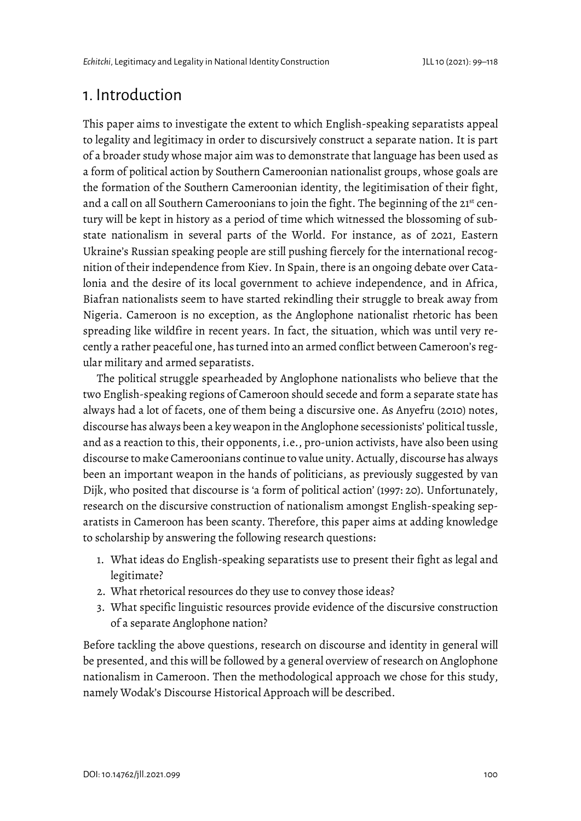# 1. Introduction

This paper aims to investigate the extent to which English-speaking separatists appeal to legality and legitimacy in order to discursively construct a separate nation. It is part of a broader study whose major aim was to demonstrate that language has been used as a form of political action by Southern Cameroonian nationalist groups, whose goals are the formation of the Southern Cameroonian identity, the legitimisation of their fight, and a call on all Southern Cameroonians to join the fight. The beginning of the 21<sup>st</sup> century will be kept in history as a period of time which witnessed the blossoming of substate nationalism in several parts of the World. For instance, as of 2021, Eastern Ukraine's Russian speaking people are still pushing fiercely for the international recognition of their independence from Kiev. In Spain, there is an ongoing debate over Catalonia and the desire of its local government to achieve independence, and in Africa, Biafran nationalists seem to have started rekindling their struggle to break away from Nigeria. Cameroon is no exception, as the Anglophone nationalist rhetoric has been spreading like wildfire in recent years. In fact, the situation, which was until very recently a rather peaceful one, has turned into an armed conflict between Cameroon's regular military and armed separatists.

The political struggle spearheaded by Anglophone nationalists who believe that the two English-speaking regions of Cameroon should secede and form a separate state has always had a lot of facets, one of them being a discursive one. As Anyefru (2010) notes, discourse has always been a key weapon in the Anglophone secessionists' political tussle, and as a reaction to this, their opponents, i.e., pro-union activists, have also been using discourse to make Cameroonians continue to value unity. Actually, discourse has always been an important weapon in the hands of politicians, as previously suggested by van Dijk, who posited that discourse is 'a form of political action' (1997: 20). Unfortunately, research on the discursive construction of nationalism amongst English-speaking separatists in Cameroon has been scanty. Therefore, this paper aims at adding knowledge to scholarship by answering the following research questions:

- 1. What ideas do English-speaking separatists use to present their fight as legal and legitimate?
- 2. What rhetorical resources do they use to convey those ideas?
- 3. What specific linguistic resources provide evidence of the discursive construction of a separate Anglophone nation?

Before tackling the above questions, research on discourse and identity in general will be presented, and this will be followed by a general overview of research on Anglophone nationalism in Cameroon. Then the methodological approach we chose for this study, namely Wodak's Discourse Historical Approach will be described.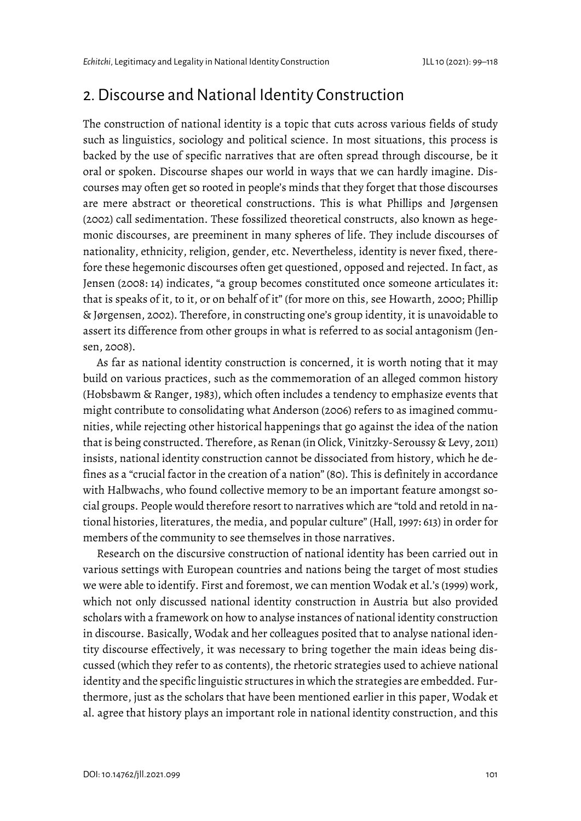### 2. Discourse and National Identity Construction

The construction of national identity is a topic that cuts across various fields of study such as linguistics, sociology and political science. In most situations, this process is backed by the use of specific narratives that are often spread through discourse, be it oral or spoken. Discourse shapes our world in ways that we can hardly imagine. Discourses may often get so rooted in people's minds that they forget that those discourses are mere abstract or theoretical constructions. This is what Phillips and Jørgensen (2002) call sedimentation. These fossilized theoretical constructs, also known as hegemonic discourses, are preeminent in many spheres of life. They include discourses of nationality, ethnicity, religion, gender, etc. Nevertheless, identity is never fixed, therefore these hegemonic discourses often get questioned, opposed and rejected. In fact, as Jensen (2008: 14) indicates, "a group becomes constituted once someone articulates it: that is speaks of it, to it, or on behalf of it" (for more on this, see Howarth, 2000; Phillip & Jørgensen, 2002). Therefore, in constructing one's group identity, it is unavoidable to assert its difference from other groups in what is referred to as social antagonism (Jensen, 2008).

As far as national identity construction is concerned, it is worth noting that it may build on various practices, such as the commemoration of an alleged common history (Hobsbawm & Ranger, 1983), which often includes a tendency to emphasize events that might contribute to consolidating what Anderson (2006) refers to as imagined communities, while rejecting other historical happenings that go against the idea of the nation that is being constructed. Therefore, as Renan (in Olick, Vinitzky-Seroussy & Levy, 2011) insists, national identity construction cannot be dissociated from history, which he defines as a "crucial factor in the creation of a nation" (80). This is definitely in accordance with Halbwachs, who found collective memory to be an important feature amongst social groups. People would therefore resort to narratives which are "told and retold in national histories, literatures, the media, and popular culture" (Hall, 1997: 613) in order for members of the community to see themselves in those narratives.

Research on the discursive construction of national identity has been carried out in various settings with European countries and nations being the target of most studies we were able to identify. First and foremost, we can mention Wodak et al.'s (1999) work, which not only discussed national identity construction in Austria but also provided scholars with a framework on how to analyse instances of national identity construction in discourse. Basically, Wodak and her colleagues posited that to analyse national identity discourse effectively, it was necessary to bring together the main ideas being discussed (which they refer to as contents), the rhetoric strategies used to achieve national identity and the specific linguistic structures in which the strategies are embedded. Furthermore, just as the scholars that have been mentioned earlier in this paper, Wodak et al. agree that history plays an important role in national identity construction, and this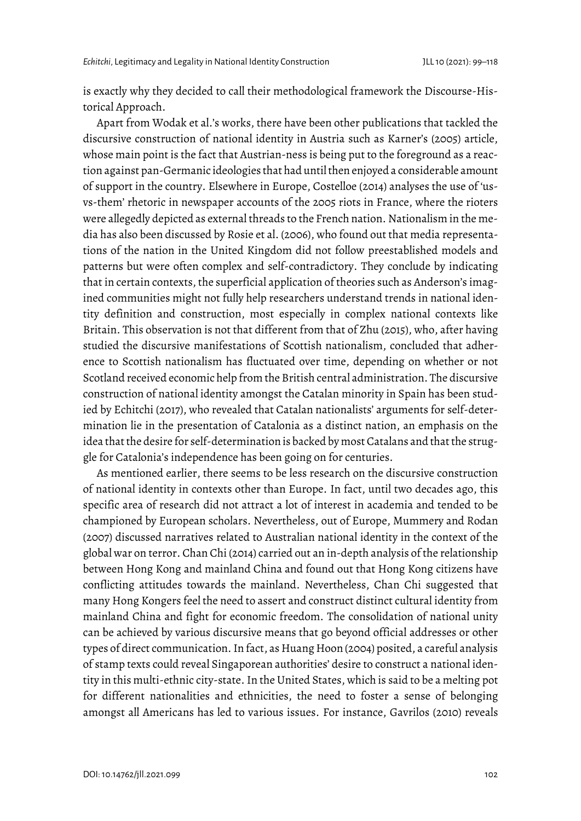is exactly why they decided to call their methodological framework the Discourse-Historical Approach.

Apart from Wodak et al.'s works, there have been other publications that tackled the discursive construction of national identity in Austria such as Karner's (2005) article, whose main point is the fact that Austrian-ness is being put to the foreground as a reaction against pan-Germanic ideologies that had until then enjoyed a considerable amount of support in the country. Elsewhere in Europe, Costelloe (2014) analyses the use of 'usvs-them' rhetoric in newspaper accounts of the 2005 riots in France, where the rioters were allegedly depicted as external threads to the French nation. Nationalism in the media has also been discussed by Rosie et al. (2006), who found out that media representations of the nation in the United Kingdom did not follow preestablished models and patterns but were often complex and self-contradictory. They conclude by indicating that in certain contexts, the superficial application of theories such as Anderson's imagined communities might not fully help researchers understand trends in national identity definition and construction, most especially in complex national contexts like Britain. This observation is not that different from that of Zhu (2015), who, after having studied the discursive manifestations of Scottish nationalism, concluded that adherence to Scottish nationalism has fluctuated over time, depending on whether or not Scotland received economic help from the British central administration. The discursive construction of national identity amongst the Catalan minority in Spain has been studied by Echitchi (2017), who revealed that Catalan nationalists' arguments for self-determination lie in the presentation of Catalonia as a distinct nation, an emphasis on the idea that the desire for self-determination is backed by most Catalans and that the struggle for Catalonia's independence has been going on for centuries.

As mentioned earlier, there seems to be less research on the discursive construction of national identity in contexts other than Europe. In fact, until two decades ago, this specific area of research did not attract a lot of interest in academia and tended to be championed by European scholars. Nevertheless, out of Europe, Mummery and Rodan (2007) discussed narratives related to Australian national identity in the context of the global war on terror. Chan Chi (2014) carried out an in-depth analysis of the relationship between Hong Kong and mainland China and found out that Hong Kong citizens have conflicting attitudes towards the mainland. Nevertheless, Chan Chi suggested that many Hong Kongers feel the need to assert and construct distinct cultural identity from mainland China and fight for economic freedom. The consolidation of national unity can be achieved by various discursive means that go beyond official addresses or other types of direct communication. In fact, as Huang Hoon (2004) posited, a careful analysis of stamp texts could reveal Singaporean authorities' desire to construct a national identity in this multi-ethnic city-state. In the United States, which is said to be a melting pot for different nationalities and ethnicities, the need to foster a sense of belonging amongst all Americans has led to various issues. For instance, Gavrilos (2010) reveals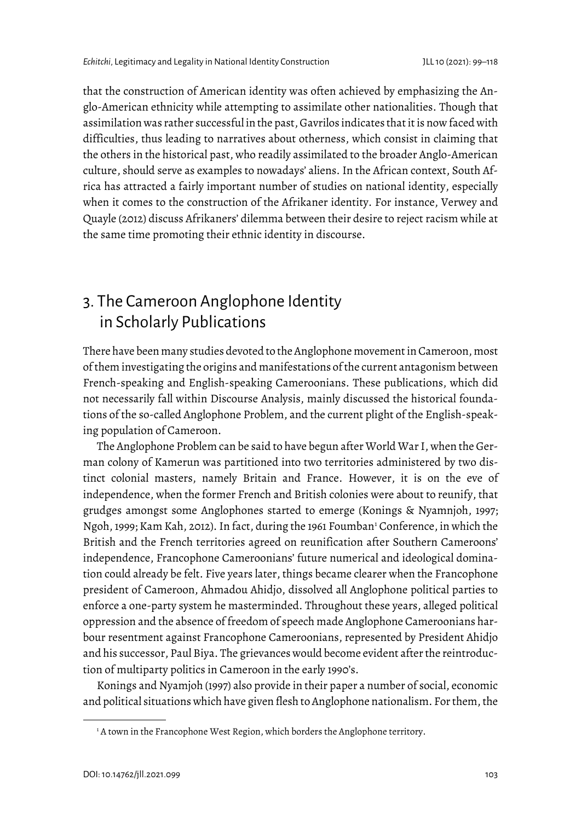that the construction of American identity was often achieved by emphasizing the Anglo-American ethnicity while attempting to assimilate other nationalities. Though that assimilation was rather successful in the past, Gavrilos indicates that it is now faced with difficulties, thus leading to narratives about otherness, which consist in claiming that the others in the historical past, who readily assimilated to the broader Anglo-American culture, should serve as examples to nowadays' aliens. In the African context, South Africa has attracted a fairly important number of studies on national identity, especially when it comes to the construction of the Afrikaner identity. For instance, Verwey and Quayle (2012) discuss Afrikaners' dilemma between their desire to reject racism while at the same time promoting their ethnic identity in discourse.

# 3. The Cameroon Anglophone Identity in Scholarly Publications

There have been many studies devoted to the Anglophone movement in Cameroon, most of them investigating the origins and manifestations of the current antagonism between French-speaking and English-speaking Cameroonians. These publications, which did not necessarily fall within Discourse Analysis, mainly discussed the historical foundations of the so-called Anglophone Problem, and the current plight of the English-speaking population of Cameroon.

The Anglophone Problem can be said to have begun after World War I, when the German colony of Kamerun was partitioned into two territories administered by two distinct colonial masters, namely Britain and France. However, it is on the eve of independence, when the former French and British colonies were about to reunify, that grudges amongst some Anglophones started to emerge (Konings & Nyamnjoh, 1997; Ngoh, [1](#page-4-0)999; Kam Kah, 2012). In fact, during the 1961 Foumban<sup>1</sup> Conference, in which the British and the French territories agreed on reunification after Southern Cameroons' independence, Francophone Cameroonians' future numerical and ideological domination could already be felt. Five years later, things became clearer when the Francophone president of Cameroon, Ahmadou Ahidjo, dissolved all Anglophone political parties to enforce a one-party system he masterminded. Throughout these years, alleged political oppression and the absence of freedom of speech made Anglophone Cameroonians harbour resentment against Francophone Cameroonians, represented by President Ahidjo and his successor, Paul Biya. The grievances would become evident after the reintroduction of multiparty politics in Cameroon in the early 1990's.

<span id="page-4-0"></span>Konings and Nyamjoh (1997) also provide in their paper a number of social, economic and political situations which have given flesh to Anglophone nationalism. For them, the

<sup>&</sup>lt;sup>1</sup> A town in the Francophone West Region, which borders the Anglophone territory.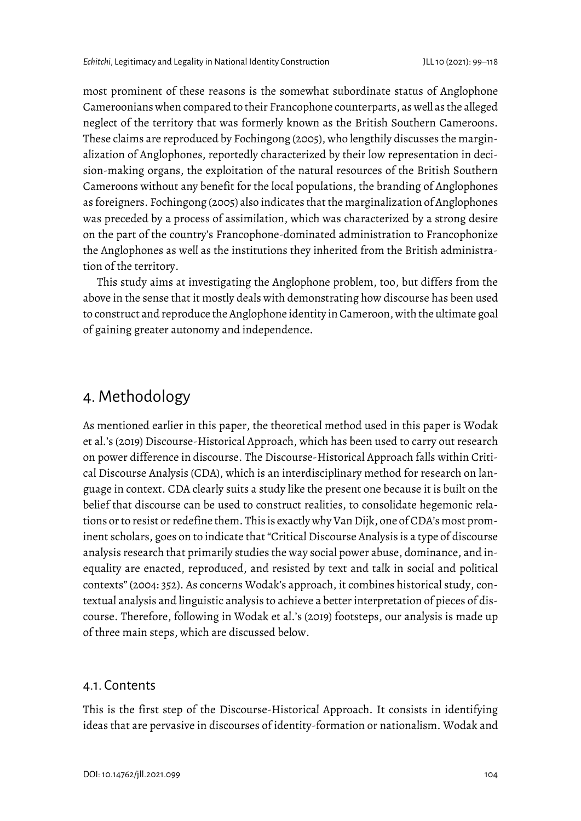most prominent of these reasons is the somewhat subordinate status of Anglophone Cameroonians when compared to their Francophone counterparts, as well as the alleged neglect of the territory that was formerly known as the British Southern Cameroons. These claims are reproduced by Fochingong (2005), who lengthily discusses the marginalization of Anglophones, reportedly characterized by their low representation in decision-making organs, the exploitation of the natural resources of the British Southern Cameroons without any benefit for the local populations, the branding of Anglophones as foreigners. Fochingong (2005) also indicates that the marginalization of Anglophones was preceded by a process of assimilation, which was characterized by a strong desire on the part of the country's Francophone-dominated administration to Francophonize the Anglophones as well as the institutions they inherited from the British administration of the territory.

This study aims at investigating the Anglophone problem, too, but differs from the above in the sense that it mostly deals with demonstrating how discourse has been used to construct and reproduce the Anglophone identity in Cameroon, with the ultimate goal of gaining greater autonomy and independence.

## 4. Methodology

As mentioned earlier in this paper, the theoretical method used in this paper is Wodak et al.'s (2019) Discourse-Historical Approach, which has been used to carry out research on power difference in discourse. The Discourse-Historical Approach falls within Critical Discourse Analysis (CDA), which is an interdisciplinary method for research on language in context. CDA clearly suits a study like the present one because it is built on the belief that discourse can be used to construct realities, to consolidate hegemonic relations or to resist or redefine them. This is exactly why Van Dijk, one of CDA's most prominent scholars, goes on to indicate that "Critical Discourse Analysis is a type of discourse analysis research that primarily studies the way social power abuse, dominance, and inequality are enacted, reproduced, and resisted by text and talk in social and political contexts" (2004: 352). As concerns Wodak's approach, it combines historical study, contextual analysis and linguistic analysis to achieve a better interpretation of pieces of discourse. Therefore, following in Wodak et al.'s (2019) footsteps, our analysis is made up of three main steps, which are discussed below.

#### 4.1. Contents

This is the first step of the Discourse-Historical Approach. It consists in identifying ideas that are pervasive in discourses of identity-formation or nationalism. Wodak and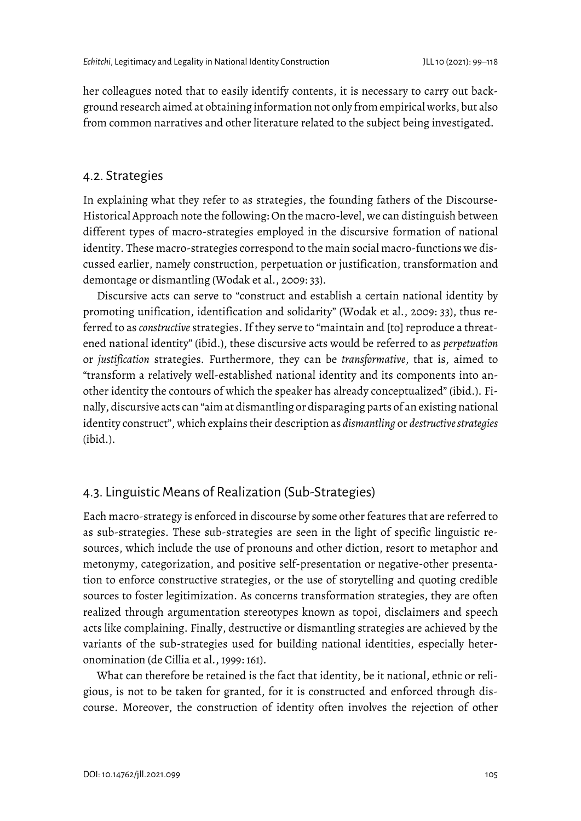her colleagues noted that to easily identify contents, it is necessary to carry out background research aimed at obtaining information not only from empirical works, but also from common narratives and other literature related to the subject being investigated.

#### 4.2. Strategies

In explaining what they refer to as strategies, the founding fathers of the Discourse-Historical Approach note the following:On the macro-level, we can distinguish between different types of macro-strategies employed in the discursive formation of national identity. These macro-strategies correspond to the main social macro-functions we discussed earlier, namely construction, perpetuation or justification, transformation and demontage or dismantling (Wodak et al., 2009: 33).

Discursive acts can serve to "construct and establish a certain national identity by promoting unification, identification and solidarity" (Wodak et al., 2009: 33), thus referred to as *constructive* strategies. If they serve to "maintain and [to] reproduce a threatened national identity" (ibid.), these discursive acts would be referred to as *perpetuation* or *justification* strategies. Furthermore, they can be *transformative*, that is, aimed to "transform a relatively well-established national identity and its components into another identity the contours of which the speaker has already conceptualized" (ibid.). Finally, discursive acts can "aim at dismantling or disparaging parts of an existing national identity construct", which explains their description as *dismantling* or *destructive strategies*  (ibid.).

### 4.3. Linguistic Means of Realization (Sub-Strategies)

Each macro-strategy is enforced in discourse by some other features that are referred to as sub-strategies. These sub-strategies are seen in the light of specific linguistic resources, which include the use of pronouns and other diction, resort to metaphor and metonymy, categorization, and positive self-presentation or negative-other presentation to enforce constructive strategies, or the use of storytelling and quoting credible sources to foster legitimization. As concerns transformation strategies, they are often realized through argumentation stereotypes known as topoi, disclaimers and speech acts like complaining. Finally, destructive or dismantling strategies are achieved by the variants of the sub-strategies used for building national identities, especially heteronomination (de Cillia et al., 1999: 161).

What can therefore be retained is the fact that identity, be it national, ethnic or religious, is not to be taken for granted, for it is constructed and enforced through discourse. Moreover, the construction of identity often involves the rejection of other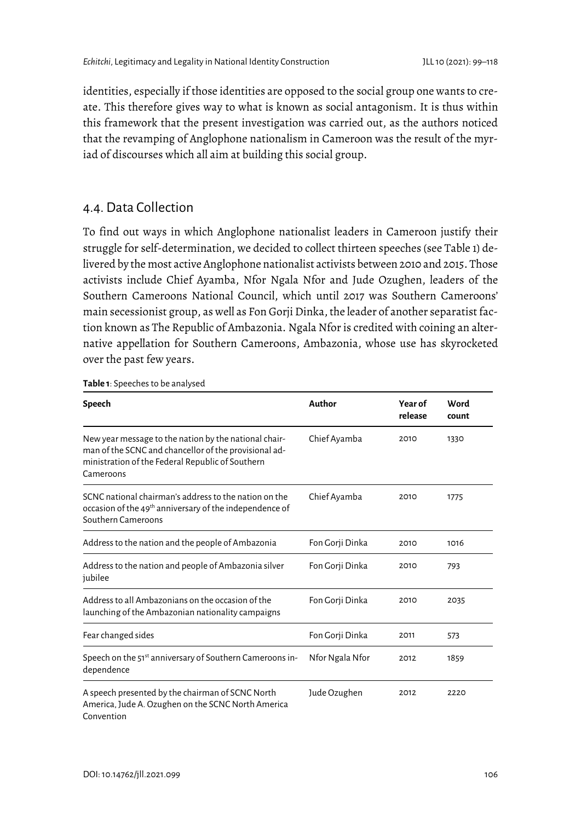identities, especially if those identities are opposed to the social group one wants to create. This therefore gives way to what is known as social antagonism. It is thus within this framework that the present investigation was carried out, as the authors noticed that the revamping of Anglophone nationalism in Cameroon was the result of the myriad of discourses which all aim at building this social group.

#### 4.4. Data Collection

To find out ways in which Anglophone nationalist leaders in Cameroon justify their struggle for self-determination, we decided to collect thirteen speeches (see Table 1) delivered by the most active Anglophone nationalist activists between 2010 and 2015. Those activists include Chief Ayamba, Nfor Ngala Nfor and Jude Ozughen, leaders of the Southern Cameroons National Council, which until 2017 was Southern Cameroons' main secessionist group, as well as Fon Gorji Dinka, the leader of another separatist faction known as The Republic of Ambazonia. Ngala Nfor is credited with coining an alternative appellation for Southern Cameroons, Ambazonia, whose use has skyrocketed over the past few years.

| Speech                                                                                                                                                                          | Author          | <b>Year of</b><br>release | Word<br>count |
|---------------------------------------------------------------------------------------------------------------------------------------------------------------------------------|-----------------|---------------------------|---------------|
| New year message to the nation by the national chair-<br>man of the SCNC and chancellor of the provisional ad-<br>ministration of the Federal Republic of Southern<br>Cameroons | Chief Ayamba    | 2010                      | 1330          |
| SCNC national chairman's address to the nation on the<br>occasion of the 49 <sup>th</sup> anniversary of the independence of<br>Southern Cameroons                              | Chief Ayamba    | 2010                      | 1775          |
| Address to the nation and the people of Ambazonia                                                                                                                               | Fon Gorji Dinka | 2010                      | 1016          |
| Address to the nation and people of Ambazonia silver<br>jubilee                                                                                                                 | Fon Gorji Dinka | 2010                      | 793           |
| Address to all Ambazonians on the occasion of the<br>launching of the Ambazonian nationality campaigns                                                                          | Fon Gorji Dinka | 2010                      | 2035          |
| Fear changed sides                                                                                                                                                              | Fon Gorji Dinka | 2011                      | 573           |
| Speech on the 51 <sup>st</sup> anniversary of Southern Cameroons in-<br>dependence                                                                                              | Nfor Ngala Nfor | 2012                      | 1859          |
| A speech presented by the chairman of SCNC North<br>America, Jude A. Ozughen on the SCNC North America<br>Convention                                                            | Jude Ozughen    | 2012                      | 2220          |

**Table 1**: Speeches to be analysed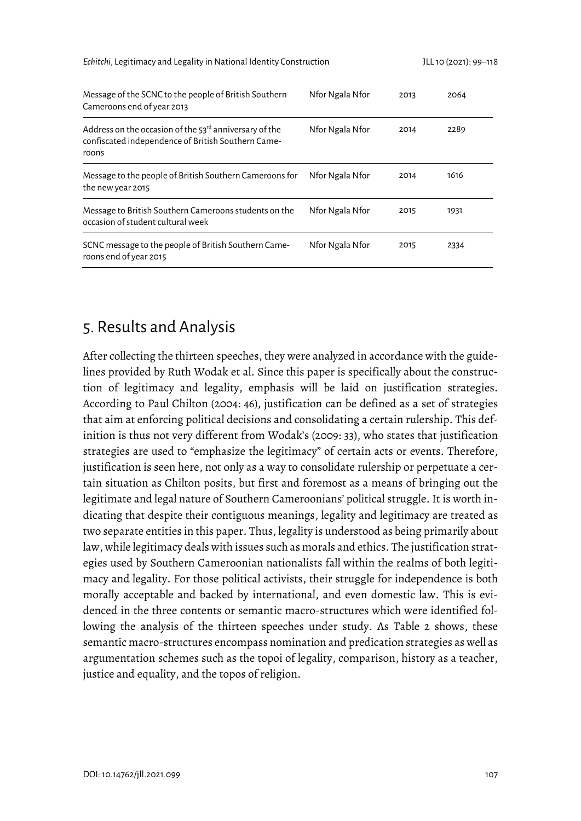*Echitchi*, Legitimacy and Legality in National Identity Construction JLL 10 (2021): 99–118

| Message of the SCNC to the people of British Southern<br>Cameroons end of year 2013                                     | Nfor Ngala Nfor | 2013 | 2064 |
|-------------------------------------------------------------------------------------------------------------------------|-----------------|------|------|
| Address on the occasion of the $53rd$ anniversary of the<br>confiscated independence of British Southern Came-<br>roons | Nfor Ngala Nfor | 2014 | 2289 |
| Message to the people of British Southern Cameroons for<br>the new year 2015                                            | Nfor Ngala Nfor | 2014 | 1616 |
| Message to British Southern Cameroons students on the<br>occasion of student cultural week                              | Nfor Ngala Nfor | 2015 | 1931 |
| SCNC message to the people of British Southern Came-<br>roons end of year 2015                                          | Nfor Ngala Nfor | 2015 | 2334 |

# 5. Results and Analysis

After collecting the thirteen speeches, they were analyzed in accordance with the guidelines provided by Ruth Wodak et al. Since this paper is specifically about the construction of legitimacy and legality, emphasis will be laid on justification strategies. According to Paul Chilton (2004: 46), justification can be defined as a set of strategies that aim at enforcing political decisions and consolidating a certain rulership. This definition is thus not very different from Wodak's (2009: 33), who states that justification strategies are used to "emphasize the legitimacy" of certain acts or events. Therefore, justification is seen here, not only as a way to consolidate rulership or perpetuate a certain situation as Chilton posits, but first and foremost as a means of bringing out the legitimate and legal nature of Southern Cameroonians' political struggle. It is worth indicating that despite their contiguous meanings, legality and legitimacy are treated as two separate entities in this paper. Thus, legality is understood as being primarily about law, while legitimacy deals with issues such as morals and ethics. The justification strategies used by Southern Cameroonian nationalists fall within the realms of both legitimacy and legality. For those political activists, their struggle for independence is both morally acceptable and backed by international, and even domestic law. This is evidenced in the three contents or semantic macro-structures which were identified following the analysis of the thirteen speeches under study. As Table 2 shows, these semantic macro-structures encompass nomination and predication strategies as well as argumentation schemes such as the topoi of legality, comparison, history as a teacher, justice and equality, and the topos of religion.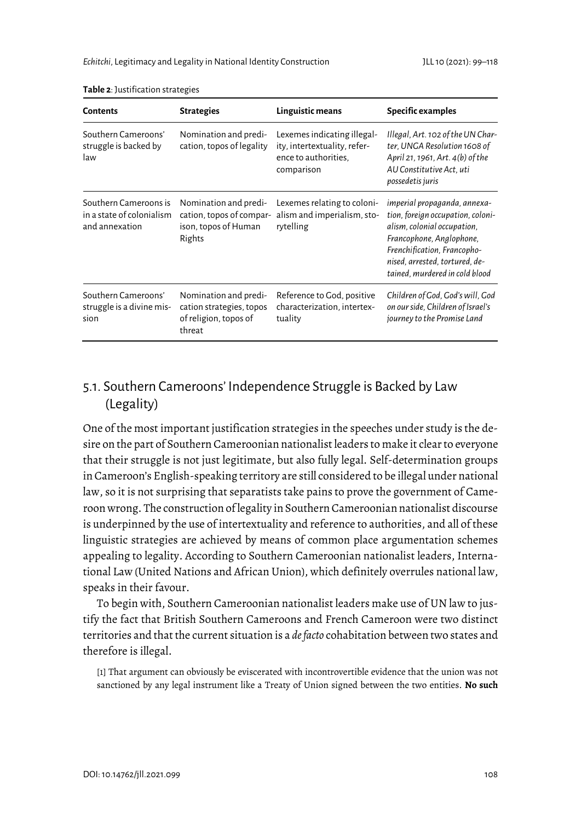| <b>Contents</b>                                                      | <b>Strategies</b>                                                                    | Linguistic means                                                                                  | Specific examples                                                                                                                                                                                                               |  |
|----------------------------------------------------------------------|--------------------------------------------------------------------------------------|---------------------------------------------------------------------------------------------------|---------------------------------------------------------------------------------------------------------------------------------------------------------------------------------------------------------------------------------|--|
| Southern Cameroons'<br>struggle is backed by<br>law                  | Nomination and predi-<br>cation, topos of legality                                   | Lexemes indicating illegal-<br>ity, intertextuality, refer-<br>ence to authorities,<br>comparison | Illegal, Art. 102 of the UN Char-<br>ter, UNGA Resolution 1608 of<br>April 21, 1961, Art. 4(b) of the<br>AU Constitutive Act, uti<br>possedetis juris                                                                           |  |
| Southern Cameroons is<br>in a state of colonialism<br>and annexation | Nomination and predi-<br>cation, topos of compar-<br>ison, topos of Human<br>Rights  | Lexemes relating to coloni-<br>alism and imperialism, sto-<br>rytelling                           | imperial propaganda, annexa-<br>tion, foreign occupation, coloni-<br>alism, colonial occupation,<br>Francophone, Anglophone,<br>Frenchification, Francopho-<br>nised, arrested, tortured, de-<br>tained, murdered in cold blood |  |
| Southern Cameroons'<br>struggle is a divine mis-<br>sion             | Nomination and predi-<br>cation strategies, topos<br>of religion, topos of<br>threat | Reference to God, positive<br>characterization, intertex-<br>tuality                              | Children of God, God's will, God<br>on our side, Children of Israel's<br>journey to the Promise Land                                                                                                                            |  |

**Table 2**: Justification strategies

### 5.1. Southern Cameroons' Independence Struggle is Backed by Law (Legality)

One of the most important justification strategies in the speeches under study is the desire on the part of Southern Cameroonian nationalist leaders to make it clear to everyone that their struggle is not just legitimate, but also fully legal. Self-determination groups in Cameroon's English-speaking territory are still considered to be illegal under national law, so it is not surprising that separatists take pains to prove the government of Cameroon wrong. The construction of legality in Southern Cameroonian nationalist discourse is underpinned by the use of intertextuality and reference to authorities, and all of these linguistic strategies are achieved by means of common place argumentation schemes appealing to legality. According to Southern Cameroonian nationalist leaders, International Law (United Nations and African Union), which definitely overrules national law, speaks in their favour.

To begin with, Southern Cameroonian nationalist leaders make use of UN law to justify the fact that British Southern Cameroons and French Cameroon were two distinct territories and that the current situation is a *de facto* cohabitation between two states and therefore is illegal.

[1] That argument can obviously be eviscerated with incontrovertible evidence that the union was not sanctioned by any legal instrument like a Treaty of Union signed between the two entities. **No such**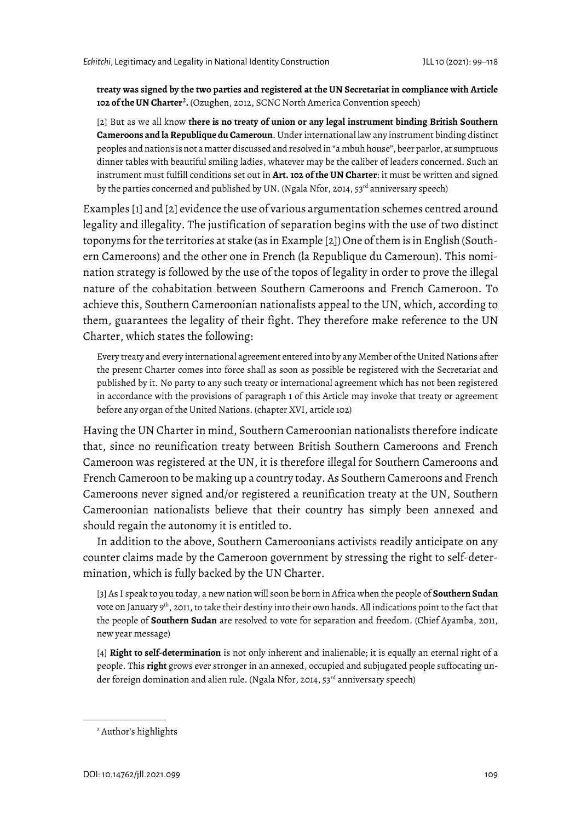**treaty was signed by the two parties and registered at the UN Secretariat in compliance with Article 102 of the UN Charter[2](#page-10-0) .** (Ozughen, 2012, SCNC North America Convention speech)

[2] But as we all know **there is no treaty of union or any legal instrument binding British Southern Cameroons and la Republique du Cameroun**. Under international law any instrument binding distinct peoples and nations is not a matter discussed and resolved in "a mbuh house", beer parlor, at sumptuous dinner tables with beautiful smiling ladies, whatever may be the caliber of leaders concerned. Such an instrument must fulfill conditions set out in **Art. 102 of the UN Charter**: it must be written and signed by the parties concerned and published by UN. (Ngala Nfor, 2014, 53<sup>rd</sup> anniversary speech)

Examples [1] and [2] evidence the use of various argumentation schemes centred around legality and illegality. The justification of separation begins with the use of two distinct toponyms for the territories at stake (as in Example [2]) One of them is in English (Southern Cameroons) and the other one in French (la Republique du Cameroun). This nomination strategy is followed by the use of the topos of legality in order to prove the illegal nature of the cohabitation between Southern Cameroons and French Cameroon. To achieve this, Southern Cameroonian nationalists appeal to the UN, which, according to them, guarantees the legality of their fight. They therefore make reference to the UN Charter, which states the following:

Every treaty and every international agreement entered into by any Member of the United Nations after the present Charter comes into force shall as soon as possible be registered with the Secretariat and published by it. No party to any such treaty or international agreement which has not been registered in accordance with the provisions of paragraph 1 of this Article may invoke that treaty or agreement before any organ of the United Nations. (chapter XVI, article 102)

Having the UN Charter in mind, Southern Cameroonian nationalists therefore indicate that, since no reunification treaty between British Southern Cameroons and French Cameroon was registered at the UN, it is therefore illegal for Southern Cameroons and French Cameroon to be making up a country today. As Southern Cameroons and French Cameroons never signed and/or registered a reunification treaty at the UN, Southern Cameroonian nationalists believe that their country has simply been annexed and should regain the autonomy it is entitled to.

In addition to the above, Southern Cameroonians activists readily anticipate on any counter claims made by the Cameroon government by stressing the right to self-determination, which is fully backed by the UN Charter.

[3] As I speak to you today, a new nation will soon be born in Africa when the people of **Southern Sudan**  vote on January 9<sup>th</sup>, 2011, to take their destiny into their own hands. All indications point to the fact that the people of **Southern Sudan** are resolved to vote for separation and freedom. (Chief Ayamba, 2011, new year message)

[4] **Right to self-determination** is not only inherent and inalienable; it is equally an eternal right of a people. This **right** grows ever stronger in an annexed, occupied and subjugated people suffocating under foreign domination and alien rule. (Ngala Nfor, 2014, 53<sup>rd</sup> anniversary speech)

<span id="page-10-0"></span><sup>&</sup>lt;sup>2</sup> Author's highlights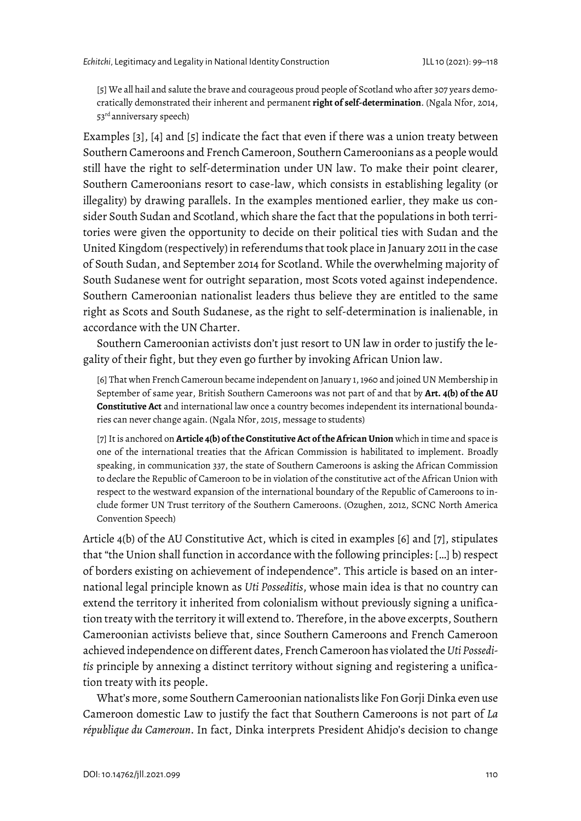[5] We all hail and salute the brave and courageous proud people of Scotland who after 307 years democratically demonstrated their inherent and permanent **right of self-determination**. (Ngala Nfor, 2014, 53rd anniversary speech)

Examples [3], [4] and [5] indicate the fact that even if there was a union treaty between Southern Cameroons and French Cameroon, Southern Cameroonians as a people would still have the right to self-determination under UN law. To make their point clearer, Southern Cameroonians resort to case-law, which consists in establishing legality (or illegality) by drawing parallels. In the examples mentioned earlier, they make us consider South Sudan and Scotland, which share the fact that the populations in both territories were given the opportunity to decide on their political ties with Sudan and the United Kingdom (respectively) in referendums that took place in January 2011 in the case of South Sudan, and September 2014 for Scotland. While the overwhelming majority of South Sudanese went for outright separation, most Scots voted against independence. Southern Cameroonian nationalist leaders thus believe they are entitled to the same right as Scots and South Sudanese, as the right to self-determination is inalienable, in accordance with the UN Charter.

Southern Cameroonian activists don't just resort to UN law in order to justify the legality of their fight, but they even go further by invoking African Union law.

[6] That when French Cameroun became independent on January 1, 1960 and joined UN Membership in September of same year, British Southern Cameroons was not part of and that by **Art. 4(b) of the AU Constitutive Act** and international law once a country becomes independent its international boundaries can never change again. (Ngala Nfor, 2015, message to students)

[7] It is anchored on **Article 4(b) of the Constitutive Act of the African Union** which in time and space is one of the international treaties that the African Commission is habilitated to implement. Broadly speaking, in communication 337, the state of Southern Cameroons is asking the African Commission to declare the Republic of Cameroon to be in violation of the constitutive act of the African Union with respect to the westward expansion of the international boundary of the Republic of Cameroons to include former UN Trust territory of the Southern Cameroons. (Ozughen, 2012, SCNC North America Convention Speech)

Article 4(b) of the AU Constitutive Act, which is cited in examples [6] and [7], stipulates that "the Union shall function in accordance with the following principles: […] b) respect of borders existing on achievement of independence". This article is based on an international legal principle known as *Uti Posseditis*, whose main idea is that no country can extend the territory it inherited from colonialism without previously signing a unification treaty with the territory it will extend to. Therefore, in the above excerpts, Southern Cameroonian activists believe that, since Southern Cameroons and French Cameroon achieved independence on different dates, French Cameroon has violated the *Uti Posseditis* principle by annexing a distinct territory without signing and registering a unification treaty with its people.

What's more, some Southern Cameroonian nationalists like Fon Gorji Dinka even use Cameroon domestic Law to justify the fact that Southern Cameroons is not part of *La république du Cameroun*. In fact, Dinka interprets President Ahidjo's decision to change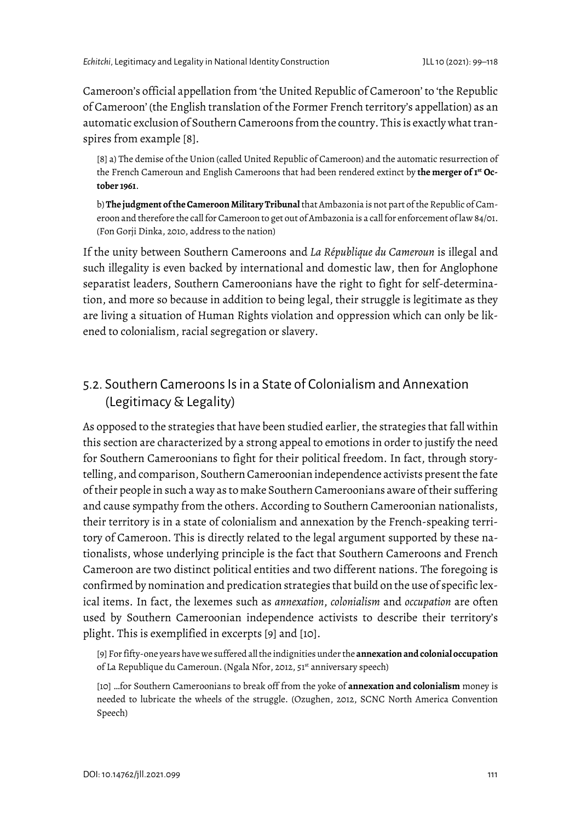Cameroon's official appellation from 'the United Republic of Cameroon' to 'the Republic of Cameroon' (the English translation of the Former French territory's appellation) as an automatic exclusion of Southern Cameroons from the country. This is exactly what transpires from example [8].

[8] a) The demise of the Union (called United Republic of Cameroon) and the automatic resurrection of the French Cameroun and English Cameroons that had been rendered extinct by **the merger of 1st October 1961**.

b) **The judgment of the Cameroon Military Tribunal**that Ambazonia is not part of the Republic of Cameroon and therefore the call for Cameroon to get out of Ambazonia is a call for enforcement of law 84/01. (Fon Gorji Dinka, 2010, address to the nation)

If the unity between Southern Cameroons and *La République du Cameroun* is illegal and such illegality is even backed by international and domestic law, then for Anglophone separatist leaders, Southern Cameroonians have the right to fight for self-determination, and more so because in addition to being legal, their struggle is legitimate as they are living a situation of Human Rights violation and oppression which can only be likened to colonialism, racial segregation or slavery.

### 5.2. Southern Cameroons Is in a State of Colonialism and Annexation (Legitimacy & Legality)

As opposed to the strategies that have been studied earlier, the strategies that fall within this section are characterized by a strong appeal to emotions in order to justify the need for Southern Cameroonians to fight for their political freedom. In fact, through storytelling, and comparison, Southern Cameroonian independence activists present the fate of their people in such a way as to make Southern Cameroonians aware of their suffering and cause sympathy from the others. According to Southern Cameroonian nationalists, their territory is in a state of colonialism and annexation by the French-speaking territory of Cameroon. This is directly related to the legal argument supported by these nationalists, whose underlying principle is the fact that Southern Cameroons and French Cameroon are two distinct political entities and two different nations. The foregoing is confirmed by nomination and predication strategies that build on the use of specific lexical items. In fact, the lexemes such as *annexation*, *colonialism* and *occupation* are often used by Southern Cameroonian independence activists to describe their territory's plight. This is exemplified in excerpts [9] and [10].

[9] For fifty-one years have we suffered all the indignities under the **annexation and colonial occupation** of La Republique du Cameroun. (Ngala Nfor, 2012, 51<sup>st</sup> anniversary speech)

[10] …for Southern Cameroonians to break off from the yoke of **annexation and colonialism** money is needed to lubricate the wheels of the struggle. (Ozughen, 2012, SCNC North America Convention Speech)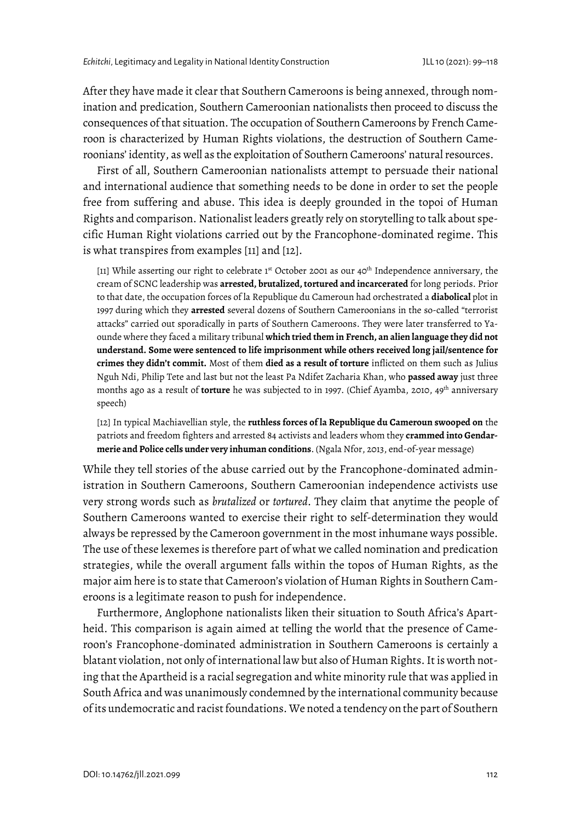After they have made it clear that Southern Cameroons is being annexed, through nomination and predication, Southern Cameroonian nationalists then proceed to discuss the consequences of that situation. The occupation of Southern Cameroons by French Cameroon is characterized by Human Rights violations, the destruction of Southern Cameroonians' identity, as well as the exploitation of Southern Cameroons' natural resources.

First of all, Southern Cameroonian nationalists attempt to persuade their national and international audience that something needs to be done in order to set the people free from suffering and abuse. This idea is deeply grounded in the topoi of Human Rights and comparison. Nationalist leaders greatly rely on storytelling to talk about specific Human Right violations carried out by the Francophone-dominated regime. This is what transpires from examples [11] and [12].

[11] While asserting our right to celebrate 1<sup>st</sup> October 2001 as our 40<sup>th</sup> Independence anniversary, the cream of SCNC leadership was **arrested, brutalized, tortured and incarcerated** for long periods. Prior to that date, the occupation forces of la Republique du Cameroun had orchestrated a **diabolical** plot in 1997 during which they **arrested** several dozens of Southern Cameroonians in the so-called "terrorist attacks" carried out sporadically in parts of Southern Cameroons. They were later transferred to Yaounde where they faced a military tribunal **which tried them in French, an alien language they did not understand. Some were sentenced to life imprisonment while others received long jail/sentence for crimes they didn't commit.** Most of them **died as a result of torture** inflicted on them such as Julius Nguh Ndi, Philip Tete and last but not the least Pa Ndifet Zacharia Khan, who **passed away** just three months ago as a result of **torture** he was subjected to in 1997. (Chief Ayamba, 2010, 49<sup>th</sup> anniversary speech)

[12] In typical Machiavellian style, the **ruthless forces of la Republique du Cameroun swooped on** the patriots and freedom fighters and arrested 84 activists and leaders whom they **crammed into Gendarmerie and Police cells under very inhuman conditions**. (Ngala Nfor, 2013, end-of-year message)

While they tell stories of the abuse carried out by the Francophone-dominated administration in Southern Cameroons, Southern Cameroonian independence activists use very strong words such as *brutalized* or *tortured*. They claim that anytime the people of Southern Cameroons wanted to exercise their right to self-determination they would always be repressed by the Cameroon government in the most inhumane ways possible. The use of these lexemes is therefore part of what we called nomination and predication strategies, while the overall argument falls within the topos of Human Rights, as the major aim here is to state that Cameroon's violation of Human Rights in Southern Cameroons is a legitimate reason to push for independence.

Furthermore, Anglophone nationalists liken their situation to South Africa's Apartheid. This comparison is again aimed at telling the world that the presence of Cameroon's Francophone-dominated administration in Southern Cameroons is certainly a blatant violation, not only of international law but also of Human Rights. It is worth noting that the Apartheid is a racial segregation and white minority rule that was applied in South Africa and was unanimously condemned by the international community because of its undemocratic and racist foundations. We noted a tendency on the part of Southern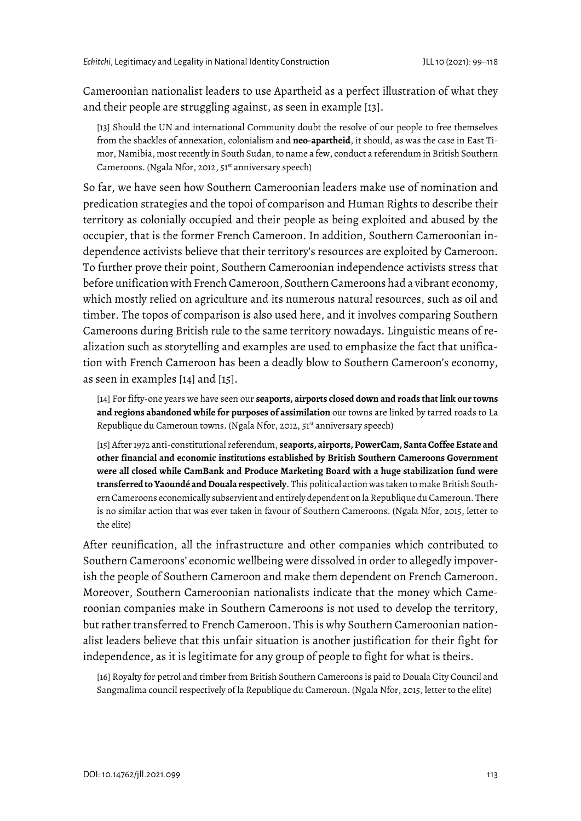Cameroonian nationalist leaders to use Apartheid as a perfect illustration of what they and their people are struggling against, as seen in example [13].

[13] Should the UN and international Community doubt the resolve of our people to free themselves from the shackles of annexation, colonialism and **neo-apartheid**, it should, as was the case in East Timor, Namibia, most recently in South Sudan, to name a few, conduct a referendum in British Southern Cameroons. (Ngala Nfor, 2012, 51<sup>st</sup> anniversary speech)

So far, we have seen how Southern Cameroonian leaders make use of nomination and predication strategies and the topoi of comparison and Human Rights to describe their territory as colonially occupied and their people as being exploited and abused by the occupier, that is the former French Cameroon. In addition, Southern Cameroonian independence activists believe that their territory's resources are exploited by Cameroon. To further prove their point, Southern Cameroonian independence activists stress that before unification with French Cameroon, Southern Cameroons had a vibrant economy, which mostly relied on agriculture and its numerous natural resources, such as oil and timber. The topos of comparison is also used here, and it involves comparing Southern Cameroons during British rule to the same territory nowadays. Linguistic means of realization such as storytelling and examples are used to emphasize the fact that unification with French Cameroon has been a deadly blow to Southern Cameroon's economy, as seen in examples [14] and [15].

[14] For fifty-one years we have seen our **seaports, airports closed down and roads that link our towns and regions abandoned while for purposes of assimilation** our towns are linked by tarred roads to La Republique du Cameroun towns. (Ngala Nfor, 2012, 51<sup>st</sup> anniversary speech)

[15] After 1972 anti-constitutional referendum, **seaports, airports, PowerCam, Santa Coffee Estate and other financial and economic institutions established by British Southern Cameroons Government were all closed while CamBank and Produce Marketing Board with a huge stabilization fund were transferred to Yaoundé and Douala respectively**. This political action was taken to make British Southern Cameroons economically subservient and entirely dependent on la Republique du Cameroun. There is no similar action that was ever taken in favour of Southern Cameroons. (Ngala Nfor, 2015, letter to the elite)

After reunification, all the infrastructure and other companies which contributed to Southern Cameroons' economic wellbeing were dissolved in order to allegedly impoverish the people of Southern Cameroon and make them dependent on French Cameroon. Moreover, Southern Cameroonian nationalists indicate that the money which Cameroonian companies make in Southern Cameroons is not used to develop the territory, but rather transferred to French Cameroon. This is why Southern Cameroonian nationalist leaders believe that this unfair situation is another justification for their fight for independence, as it is legitimate for any group of people to fight for what is theirs.

[16] Royalty for petrol and timber from British Southern Cameroons is paid to Douala City Council and Sangmalima council respectively of la Republique du Cameroun. (Ngala Nfor, 2015, letter to the elite)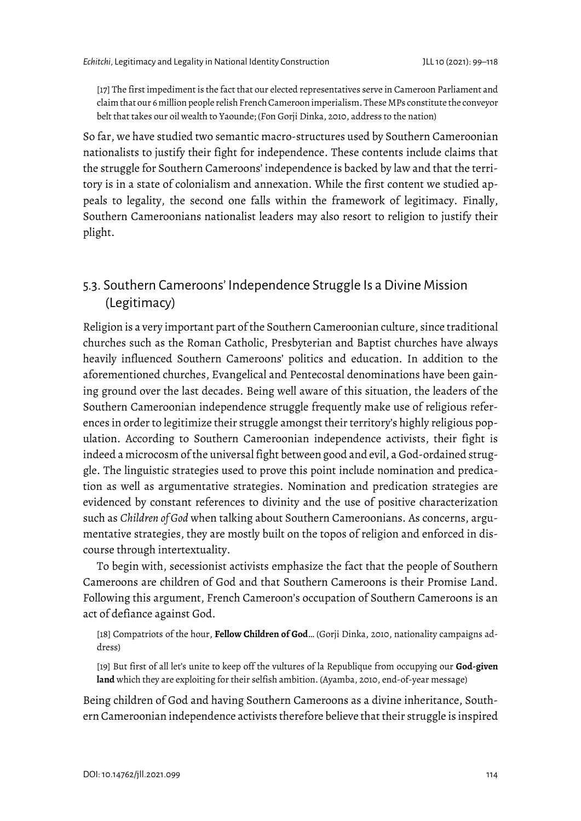[17] The first impediment is the fact that our elected representatives serve in Cameroon Parliament and claim that our 6 million people relish French Cameroon imperialism. These MPs constitute the conveyor belt that takes our oil wealth to Yaounde; (Fon Gorji Dinka, 2010, address to the nation)

So far, we have studied two semantic macro-structures used by Southern Cameroonian nationalists to justify their fight for independence. These contents include claims that the struggle for Southern Cameroons' independence is backed by law and that the territory is in a state of colonialism and annexation. While the first content we studied appeals to legality, the second one falls within the framework of legitimacy. Finally, Southern Cameroonians nationalist leaders may also resort to religion to justify their plight.

### 5.3. Southern Cameroons' Independence Struggle Is a Divine Mission (Legitimacy)

Religion is a very important part of the Southern Cameroonian culture, since traditional churches such as the Roman Catholic, Presbyterian and Baptist churches have always heavily influenced Southern Cameroons' politics and education. In addition to the aforementioned churches, Evangelical and Pentecostal denominations have been gaining ground over the last decades. Being well aware of this situation, the leaders of the Southern Cameroonian independence struggle frequently make use of religious references in order to legitimize their struggle amongst their territory's highly religious population. According to Southern Cameroonian independence activists, their fight is indeed a microcosm of the universal fight between good and evil, a God-ordained struggle. The linguistic strategies used to prove this point include nomination and predication as well as argumentative strategies. Nomination and predication strategies are evidenced by constant references to divinity and the use of positive characterization such as *Children of God* when talking about Southern Cameroonians. As concerns, argumentative strategies, they are mostly built on the topos of religion and enforced in discourse through intertextuality.

To begin with, secessionist activists emphasize the fact that the people of Southern Cameroons are children of God and that Southern Cameroons is their Promise Land. Following this argument, French Cameroon's occupation of Southern Cameroons is an act of defiance against God.

[18] Compatriots of the hour, **Fellow Children of God**… (Gorji Dinka, 2010, nationality campaigns address)

[19] But first of all let's unite to keep off the vultures of la Republique from occupying our **God-given land** which they are exploiting for their selfish ambition. (Ayamba, 2010, end-of-year message)

Being children of God and having Southern Cameroons as a divine inheritance, Southern Cameroonian independence activists therefore believe that their struggle is inspired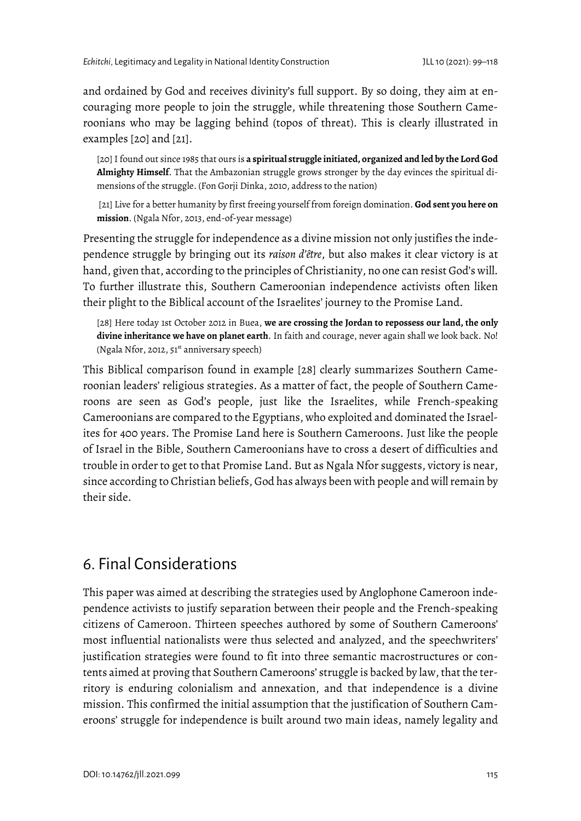and ordained by God and receives divinity's full support. By so doing, they aim at encouraging more people to join the struggle, while threatening those Southern Cameroonians who may be lagging behind (topos of threat). This is clearly illustrated in examples [20] and [21].

[20] I found out since 1985 that ours is **a spiritual struggle initiated, organized and led by the Lord God Almighty Himself**. That the Ambazonian struggle grows stronger by the day evinces the spiritual dimensions of the struggle. (Fon Gorji Dinka, 2010, address to the nation)

[21] Live for a better humanity by first freeing yourself from foreign domination. **God sent you here on mission**. (Ngala Nfor, 2013, end-of-year message)

Presenting the struggle for independence as a divine mission not only justifies the independence struggle by bringing out its *raison d'être*, but also makes it clear victory is at hand, given that, according to the principles of Christianity, no one can resist God's will. To further illustrate this, Southern Cameroonian independence activists often liken their plight to the Biblical account of the Israelites' journey to the Promise Land.

[28] Here today 1st October 2012 in Buea, **we are crossing the Jordan to repossess our land, the only divine inheritance we have on planet earth**. In faith and courage, never again shall we look back. No! (Ngala Nfor, 2012, 51<sup>st</sup> anniversary speech)

This Biblical comparison found in example [28] clearly summarizes Southern Cameroonian leaders' religious strategies. As a matter of fact, the people of Southern Cameroons are seen as God's people, just like the Israelites, while French-speaking Cameroonians are compared to the Egyptians, who exploited and dominated the Israelites for 400 years. The Promise Land here is Southern Cameroons. Just like the people of Israel in the Bible, Southern Cameroonians have to cross a desert of difficulties and trouble in order to get to that Promise Land. But as Ngala Nfor suggests, victory is near, since according to Christian beliefs, God has always been with people and will remain by their side.

# 6. Final Considerations

This paper was aimed at describing the strategies used by Anglophone Cameroon independence activists to justify separation between their people and the French-speaking citizens of Cameroon. Thirteen speeches authored by some of Southern Cameroons' most influential nationalists were thus selected and analyzed, and the speechwriters' justification strategies were found to fit into three semantic macrostructures or contents aimed at proving that Southern Cameroons' struggle is backed by law, that the territory is enduring colonialism and annexation, and that independence is a divine mission. This confirmed the initial assumption that the justification of Southern Cameroons' struggle for independence is built around two main ideas, namely legality and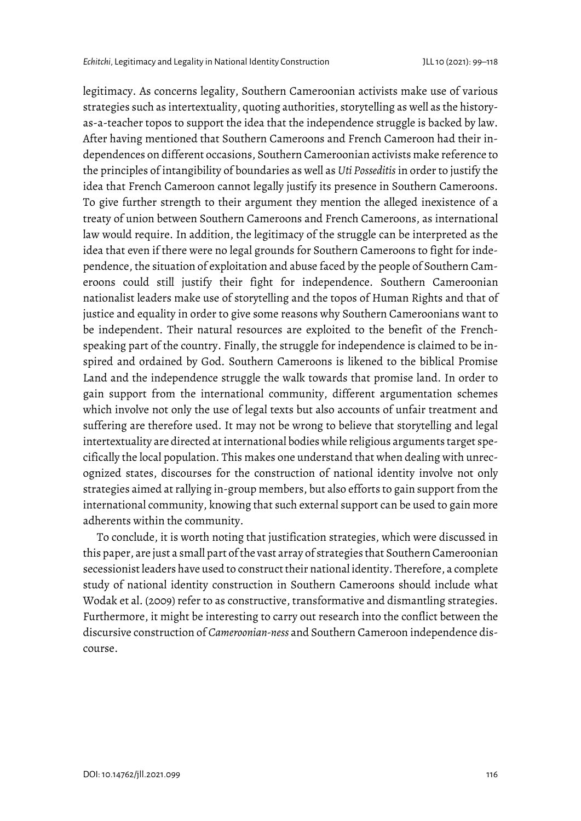legitimacy. As concerns legality, Southern Cameroonian activists make use of various strategies such as intertextuality, quoting authorities, storytelling as well as the historyas-a-teacher topos to support the idea that the independence struggle is backed by law. After having mentioned that Southern Cameroons and French Cameroon had their independences on different occasions, Southern Cameroonian activists make reference to the principles of intangibility of boundaries as well as *Uti Posseditis* in order to justify the idea that French Cameroon cannot legally justify its presence in Southern Cameroons. To give further strength to their argument they mention the alleged inexistence of a treaty of union between Southern Cameroons and French Cameroons, as international law would require. In addition, the legitimacy of the struggle can be interpreted as the idea that even if there were no legal grounds for Southern Cameroons to fight for independence, the situation of exploitation and abuse faced by the people of Southern Cameroons could still justify their fight for independence. Southern Cameroonian nationalist leaders make use of storytelling and the topos of Human Rights and that of justice and equality in order to give some reasons why Southern Cameroonians want to be independent. Their natural resources are exploited to the benefit of the Frenchspeaking part of the country. Finally, the struggle for independence is claimed to be inspired and ordained by God. Southern Cameroons is likened to the biblical Promise Land and the independence struggle the walk towards that promise land. In order to gain support from the international community, different argumentation schemes which involve not only the use of legal texts but also accounts of unfair treatment and suffering are therefore used. It may not be wrong to believe that storytelling and legal intertextuality are directed at international bodies while religious arguments target specifically the local population. This makes one understand that when dealing with unrecognized states, discourses for the construction of national identity involve not only strategies aimed at rallying in-group members, but also efforts to gain support from the international community, knowing that such external support can be used to gain more adherents within the community.

To conclude, it is worth noting that justification strategies, which were discussed in this paper, are just a small part of the vast array of strategies that Southern Cameroonian secessionist leaders have used to construct their national identity. Therefore, a complete study of national identity construction in Southern Cameroons should include what Wodak et al. (2009) refer to as constructive, transformative and dismantling strategies. Furthermore, it might be interesting to carry out research into the conflict between the discursive construction of *Cameroonian-ness* and Southern Cameroon independence discourse.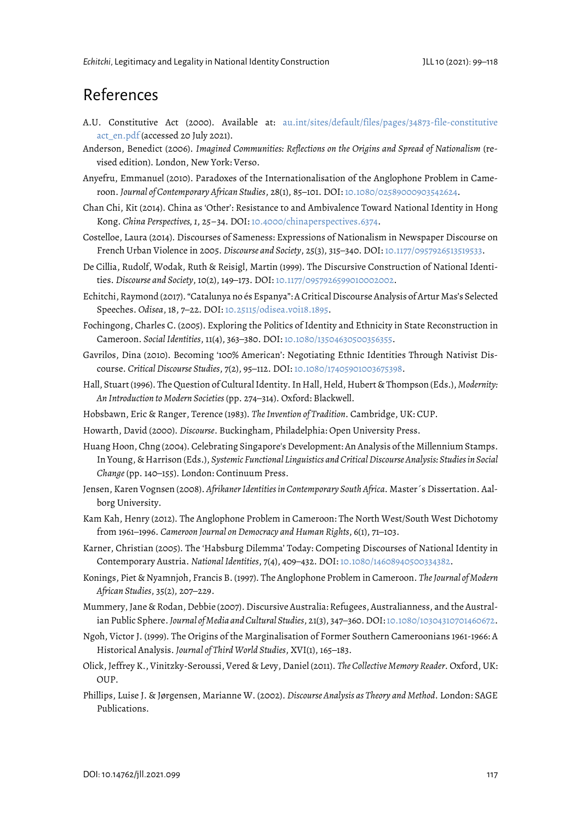### References

- A.U. Constitutive Act (2000). Available at: [au.int/sites/default/files/pages/34873-file-constitutive](https://au.int/sites/default/files/pages/34873-file-constitutiveact_en.pdf) [act\\_en.pdf](https://au.int/sites/default/files/pages/34873-file-constitutiveact_en.pdf) (accessed 20 July 2021).
- Anderson, Benedict (2006). *Imagined Communities: Reflections on the Origins and Spread of Nationalism* (revised edition). London, New York: Verso.
- Anyefru, Emmanuel (2010). Paradoxes of the Internationalisation of the Anglophone Problem in Cameroon. *Journal of Contemporary African Studies*, 28(1), 85–101. DOI: [10.1080/02589000903542624.](https://doi.org/10.1080/02589000903542624)
- Chan Chi, Kit (2014). China as 'Other': Resistance to and Ambivalence Toward National Identity in Hong Kong. *China Perspectives, 1*, 25–34. DOI: [10.4000/chinaperspectives.6374.](https://doi.org/10.4000/chinaperspectives.6374)
- Costelloe, Laura (2014). Discourses of Sameness: Expressions of Nationalism in Newspaper Discourse on French Urban Violence in 2005. *Discourse and Society*, 25(3), 315–340. DOI: [10.1177/0957926513519533.](https://doi.org/10.1177/0957926513519533)
- De Cillia, Rudolf, Wodak, Ruth & Reisigl, Martin (1999). The Discursive Construction of National Identities. *Discourse and Society*, 10(2), 149–173. DOI: [10.1177/0957926599010002002.](https://doi.org/10.1177/0957926599010002002)
- Echitchi, Raymond (2017). "Catalunya no és Espanya": A Critical Discourse Analysis of Artur Mas's Selected Speeches. Odisea, 18, 7-22. DOI: 10.25115/odisea.voi18.1895.
- Fochingong, Charles C. (2005). Exploring the Politics of Identity and Ethnicity in State Reconstruction in Cameroon. *Social Identities*, 11(4), 363–380. DOI[: 10.1080/13504630500356355.](https://doi.org/10.1080/13504630500356355)
- Gavrilos, Dina (2010). Becoming '100% American': Negotiating Ethnic Identities Through Nativist Discourse. *Critical Discourse Studies*, 7(2), 95–112. DOI: [10.1080/17405901003675398.](https://doi.org/10.1080/17405901003675398)
- Hall, Stuart(1996). The Question of Cultural Identity. In Hall, Held, Hubert & Thompson (Eds.), *Modernity: An Introduction to Modern Societies* (pp. 274–314). Oxford: Blackwell.
- Hobsbawn, Eric & Ranger, Terence (1983). *The Invention of Tradition*. Cambridge, UK: CUP.
- Howarth, David (2000). *Discourse*. Buckingham, Philadelphia: Open University Press.
- Huang Hoon, Chng (2004). Celebrating Singapore's Development: An Analysis of the Millennium Stamps. In Young, & Harrison (Eds.), *Systemic Functional Linguistics and Critical Discourse Analysis: Studies in Social Change* (pp. 140–155). London: Continuum Press.
- Jensen, Karen Vognsen (2008). *Afrikaner Identities in Contemporary South Africa*. Master´s Dissertation. Aalborg University.
- Kam Kah, Henry (2012). The Anglophone Problem in Cameroon: The North West/South West Dichotomy from 1961–1996. *Cameroon Journal on Democracy and Human Rights*, 6(1), 71–103.
- Karner, Christian (2005). The 'Habsburg Dilemma' Today: Competing Discourses of National Identity in Contemporary Austria. *National Identities*, 7(4), 409–432. DOI: 10.1080/14608940500334382.
- Konings, Piet & Nyamnjoh, Francis B. (1997). The Anglophone Problem in Cameroon. *The Journal of Modern African Studies*, 35(2), 207–229.
- Mummery, Jane & Rodan, Debbie (2007). Discursive Australia: Refugees, Australianness, and the Australian Public Sphere. *Journal of Media and Cultural Studies*, 21(3), 347–360. DOI[: 10.1080/10304310701460672.](https://doi.org/10.1080/10304310701460672)
- Ngoh, Victor J. (1999). The Origins of the Marginalisation of Former Southern Cameroonians 1961-1966: A Historical Analysis. *Journal of Third World Studies*, XVI(1), 165–183.
- Olick, Jeffrey K., Vinitzky-Seroussi, Vered & Levy, Daniel (2011). *The Collective Memory Reader*. Oxford, UK: OUP.
- Phillips, Luise J. & Jørgensen, Marianne W. (2002). *Discourse Analysis as Theory and Method*. London: SAGE Publications.